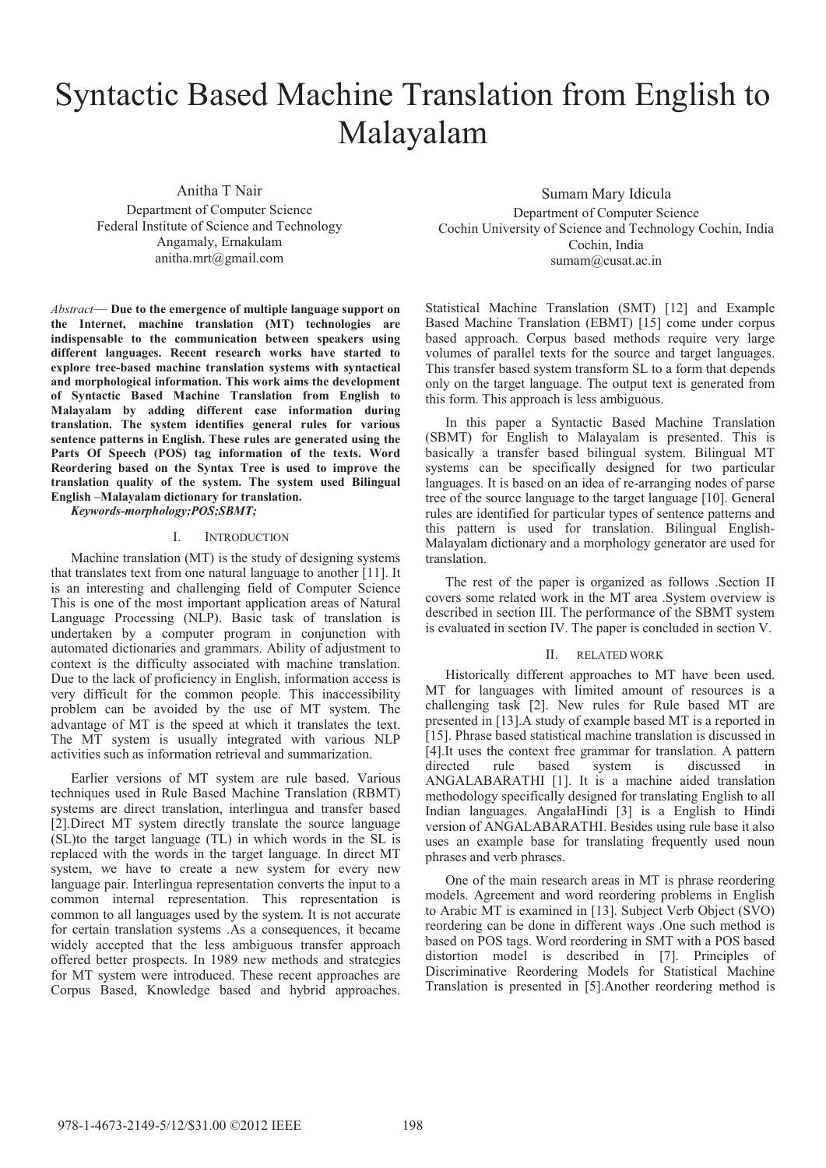# Syntactic Based Machine Translation from English to Malayalam

Anitha T Nair Department of Computer Science Federal Institute of Science and Technology Angamaly, Ernakulam anitha.mrt@gmail.com

*Abstract*— **Due to the emergence of multiple language support on the Internet, machine translation (MT) technologies are indispensable to the communication between speakers using different languages. Recent research works have started to explore tree-based machine translation systems with syntactical and morphological information. This work aims the development of Syntactic Based Machine Translation from English to Malayalam by adding different case information during translation. The system identifies general rules for various sentence patterns in English. These rules are generated using the Parts Of Speech (POS) tag information of the texts. Word Reordering based on the Syntax Tree is used to improve the translation quality of the system. The system used Bilingual English –Malayalam dictionary for translation.** 

*Keywords-morphology;POS;SBMT;* 

## I. INTRODUCTION

Machine translation (MT) is the study of designing systems that translates text from one natural language to another [11]. It is an interesting and challenging field of Computer Science This is one of the most important application areas of Natural Language Processing (NLP). Basic task of translation is undertaken by a computer program in conjunction with automated dictionaries and grammars. Ability of adjustment to context is the difficulty associated with machine translation. Due to the lack of proficiency in English, information access is very difficult for the common people. This inaccessibility problem can be avoided by the use of MT system. The advantage of MT is the speed at which it translates the text. The MT system is usually integrated with various NLP activities such as information retrieval and summarization.

Earlier versions of MT system are rule based. Various techniques used in Rule Based Machine Translation (RBMT) systems are direct translation, interlingua and transfer based [2].Direct MT system directly translate the source language (SL)to the target language (TL) in which words in the SL is replaced with the words in the target language. In direct MT system, we have to create a new system for every new language pair. Interlingua representation converts the input to a common internal representation. This representation is common to all languages used by the system. It is not accurate for certain translation systems .As a consequences, it became widely accepted that the less ambiguous transfer approach offered better prospects. In 1989 new methods and strategies for MT system were introduced. These recent approaches are Corpus Based, Knowledge based and hybrid approaches.

Sumam Mary Idicula Department of Computer Science Cochin University of Science and Technology Cochin, India Cochin, India sumam@cusat.ac.in

Statistical Machine Translation (SMT) [12] and Example Based Machine Translation (EBMT) [15] come under corpus based approach. Corpus based methods require very large volumes of parallel texts for the source and target languages. This transfer based system transform SL to a form that depends only on the target language. The output text is generated from this form. This approach is less ambiguous.

In this paper a Syntactic Based Machine Translation (SBMT) for English to Malayalam is presented. This is basically a transfer based bilingual system. Bilingual MT systems can be specifically designed for two particular languages. It is based on an idea of re-arranging nodes of parse tree of the source language to the target language [10]. General rules are identified for particular types of sentence patterns and this pattern is used for translation. Bilingual English-Malayalam dictionary and a morphology generator are used for translation.

The rest of the paper is organized as follows .Section II covers some related work in the MT area .System overview is described in section III. The performance of the SBMT system is evaluated in section IV. The paper is concluded in section V.

#### II. RELATED WORK

Historically different approaches to MT have been used. MT for languages with limited amount of resources is a challenging task [2]. New rules for Rule based MT are presented in [13].A study of example based MT is a reported in [15]. Phrase based statistical machine translation is discussed in [4].It uses the context free grammar for translation. A pattern directed rule based system is discussed in ANGALABARATHI [1]. It is a machine aided translation methodology specifically designed for translating English to all Indian languages. AngalaHindi [3] is a English to Hindi version of ANGALABARATHI. Besides using rule base it also uses an example base for translating frequently used noun phrases and verb phrases.

One of the main research areas in MT is phrase reordering models. Agreement and word reordering problems in English to Arabic MT is examined in [13]. Subject Verb Object (SVO) reordering can be done in different ways .One such method is based on POS tags. Word reordering in SMT with a POS based distortion model is described in [7]. Principles of Discriminative Reordering Models for Statistical Machine Translation is presented in [5].Another reordering method is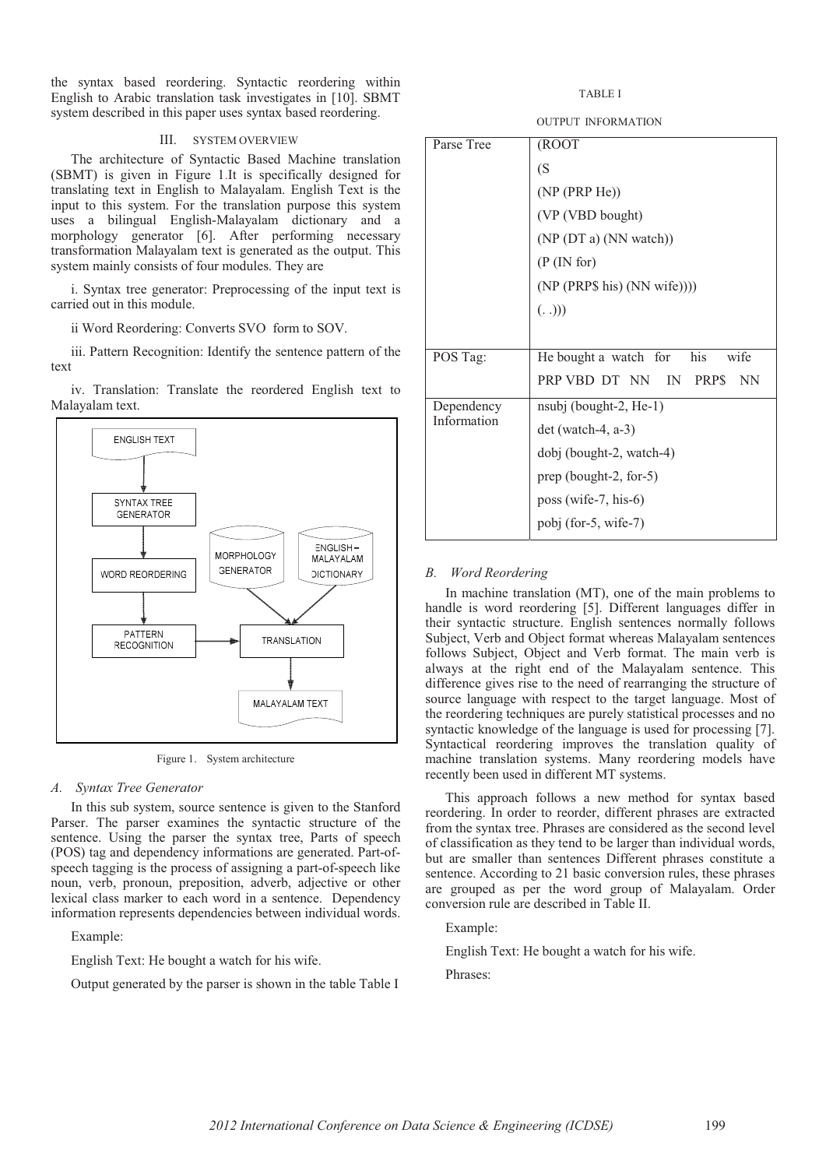the syntax based reordering. Syntactic reordering within English to Arabic translation task investigates in [10]. SBMT system described in this paper uses syntax based reordering.

## III. SYSTEM OVERVIEW

The architecture of Syntactic Based Machine translation (SBMT) is given in Figure 1.It is specifically designed for translating text in English to Malayalam. English Text is the input to this system. For the translation purpose this system uses a bilingual English-Malayalam dictionary and a morphology generator [6]. After performing necessary transformation Malayalam text is generated as the output. This system mainly consists of four modules. They are

i. Syntax tree generator: Preprocessing of the input text is carried out in this module.

ii Word Reordering: Converts SVO form to SOV.

iii. Pattern Recognition: Identify the sentence pattern of the text

iv. Translation: Translate the reordered English text to Malayalam text.



Figure 1. System architecture

#### *A. Syntax Tree Generator*

In this sub system, source sentence is given to the Stanford Parser. The parser examines the syntactic structure of the sentence. Using the parser the syntax tree, Parts of speech (POS) tag and dependency informations are generated. Part-ofspeech tagging is the process of assigning a part-of-speech like noun, verb, pronoun, preposition, adverb, adjective or other lexical class marker to each word in a sentence. Dependency information represents dependencies between individual words.

#### Example:

English Text: He bought a watch for his wife.

Output generated by the parser is shown in the table Table I

#### TABLE I

| Parse Tree                | (ROOT                                           |  |  |
|---------------------------|-------------------------------------------------|--|--|
|                           | (S                                              |  |  |
|                           | (NP (PRP He))                                   |  |  |
|                           | (VP (VBD bought)                                |  |  |
|                           | (NP (DT a) (NN watch))                          |  |  |
|                           | $(P$ (IN for)                                   |  |  |
|                           | (NP (PRPS his) (NN wife)))                      |  |  |
|                           | $(.$ .))                                        |  |  |
|                           |                                                 |  |  |
| POS Tag:                  | his<br>wife<br>He bought a watch for            |  |  |
|                           | PRP VBD DT NN<br>IN<br><b>PRPS</b><br><b>NN</b> |  |  |
| Dependency<br>Information | nsubj (bought-2, He-1)                          |  |  |
|                           | $det(watch-4, a-3)$                             |  |  |
|                           | dobj (bought-2, watch-4)                        |  |  |
|                           | prep (bought-2, for-5)                          |  |  |
|                           | poss (wife-7, his-6)                            |  |  |
|                           | pobj (for-5, wife-7)                            |  |  |

## *B. Word Reordering*

In machine translation (MT), one of the main problems to handle is word reordering [5]. Different languages differ in their syntactic structure. English sentences normally follows Subject, Verb and Object format whereas Malayalam sentences follows Subject, Object and Verb format. The main verb is always at the right end of the Malayalam sentence. This difference gives rise to the need of rearranging the structure of source language with respect to the target language. Most of the reordering techniques are purely statistical processes and no syntactic knowledge of the language is used for processing [7]. Syntactical reordering improves the translation quality of machine translation systems. Many reordering models have recently been used in different MT systems.

This approach follows a new method for syntax based reordering. In order to reorder, different phrases are extracted from the syntax tree. Phrases are considered as the second level of classification as they tend to be larger than individual words, but are smaller than sentences Different phrases constitute a sentence. According to 21 basic conversion rules, these phrases are grouped as per the word group of Malayalam. Order conversion rule are described in Table II.

## Example:

English Text: He bought a watch for his wife.

Phrases: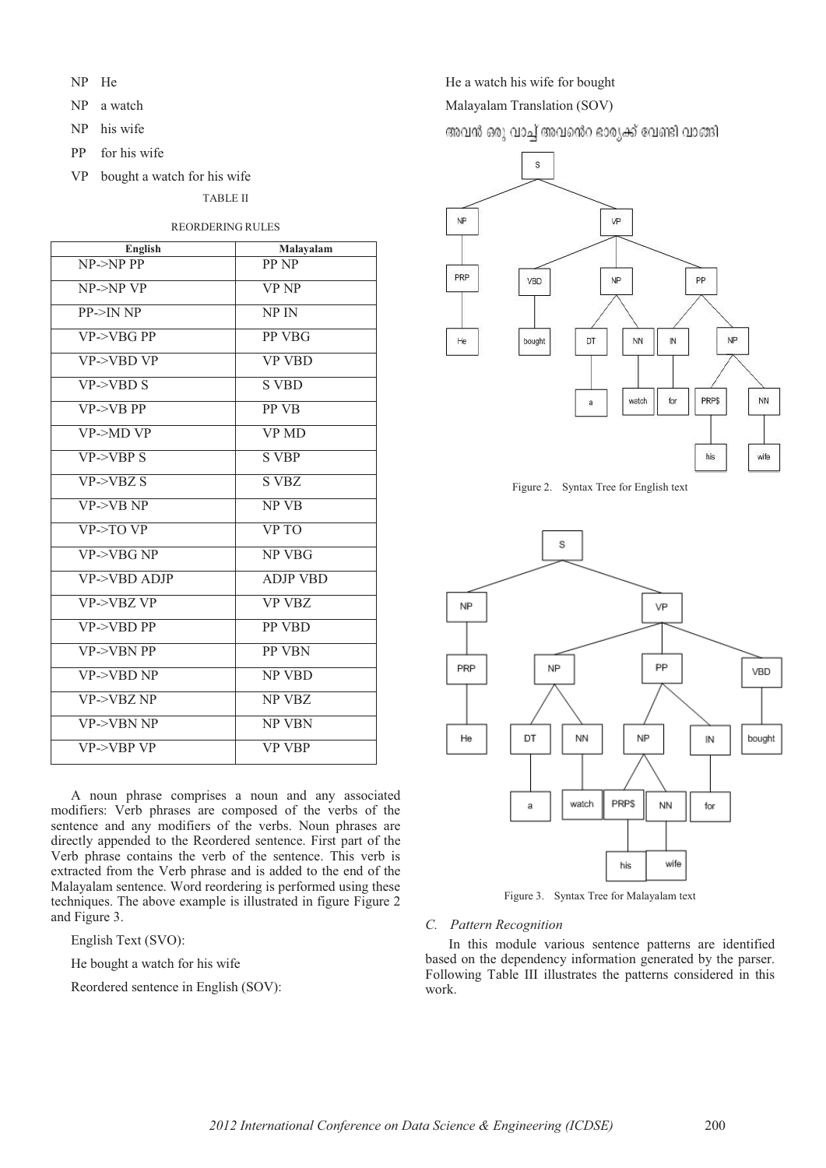- NP He
- NP a watch
- NP his wife
- PP for his wife
- VP bought a watch for his wife

## TABLE II

## REORDERING RULES

| English                      | Malayalam          |  |
|------------------------------|--------------------|--|
| $NP$ -> $NP$ $PP$            | <b>PP NP</b>       |  |
| $NP$ -> $NP VP$              | <b>VP NP</b>       |  |
| $PP->IN NP$                  | NP IN              |  |
| VP->VBG PP                   | PP VBG             |  |
| VP->VBD VP                   | <b>VP VBD</b>      |  |
| $VP$ - $VBDS$                | <b>S VBD</b>       |  |
| $VP->VB PP$                  | PP VB              |  |
| VP > MD VP                   | $\overline{VP}$ MD |  |
| $VP->VBP S$                  | <b>S VBP</b>       |  |
| VP > V B Z S                 | S VBZ              |  |
| VP->VB NP                    | <b>NP VB</b>       |  |
| $VP-2TO VP$                  | VP TO              |  |
| $VP > VBG \overline{NP}$     | NP VBG             |  |
| <b>VP-&gt;VBD ADJP</b>       | <b>ADJP VBD</b>    |  |
| VP->VBZ VP                   | <b>VP VBZ</b>      |  |
| VP->VBD PP                   | <b>PP VBD</b>      |  |
| VP->VBN PP                   | PP VBN             |  |
| $VP$ - $VBD$ $NP$            | <b>NP VBD</b>      |  |
| $VP$ - $VBZ$ $\overline{NP}$ | <b>NP VBZ</b>      |  |
| <b>VP-&gt;VBN NP</b>         | <b>NP VBN</b>      |  |
| VP->VBP VP                   | <b>VP VBP</b>      |  |

A noun phrase comprises a noun and any associated modifiers: Verb phrases are composed of the verbs of the sentence and any modifiers of the verbs. Noun phrases are directly appended to the Reordered sentence. First part of the Verb phrase contains the verb of the sentence. This verb is extracted from the Verb phrase and is added to the end of the Malayalam sentence. Word reordering is performed using these techniques. The above example is illustrated in figure Figure 2 and Figure 3.

English Text (SVO):

He bought a watch for his wife

Reordered sentence in English (SOV):

He a watch his wife for bought Malayalam Translation (SOV)

അവൻ ഒരു വാച്ച് അവൻെറ ഭാര്യക്ക് വേണ്ടി വാങ്ങി



Figure 2. Syntax Tree for English text



Figure 3. Syntax Tree for Malayalam text

## *C. Pattern Recognition*

 In this module various sentence patterns are identified based on the dependency information generated by the parser. Following Table III illustrates the patterns considered in this work.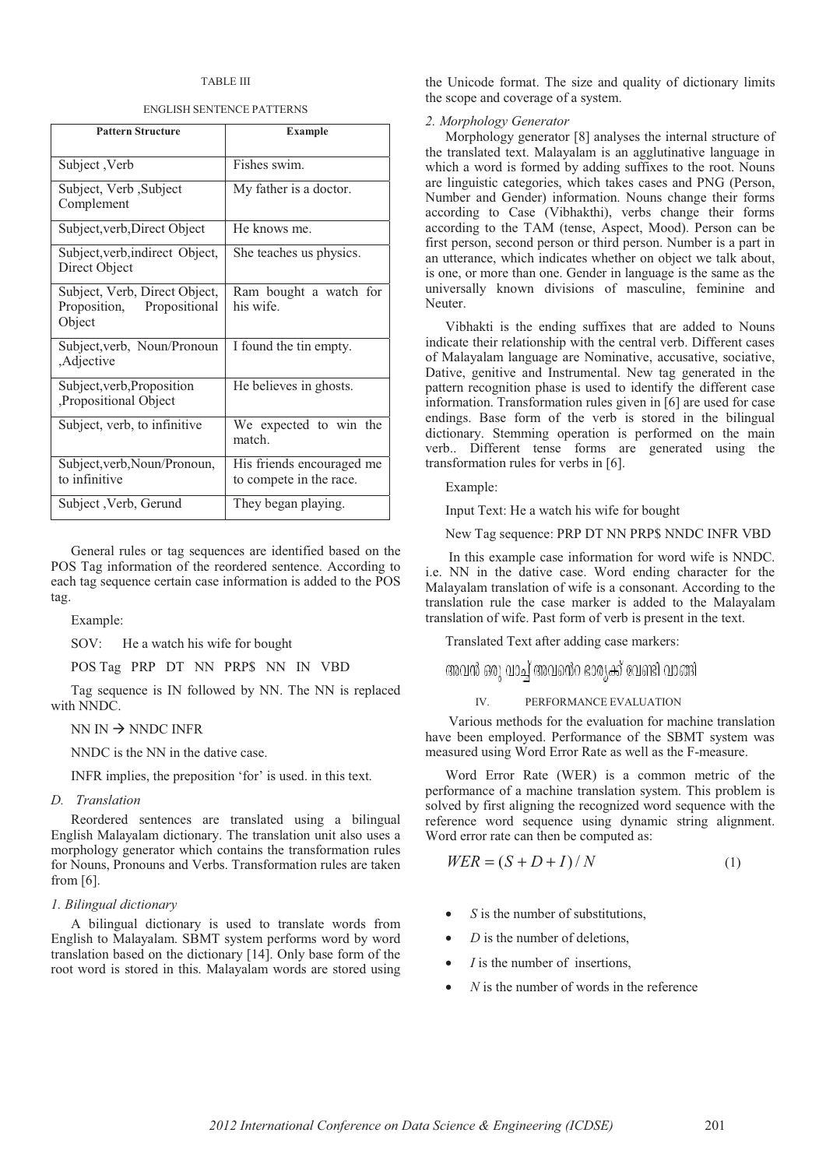## TABLE III

#### ENGLISH SENTENCE PATTERNS

| <b>Pattern Structure</b>                                              | <b>Example</b>                                       |  |
|-----------------------------------------------------------------------|------------------------------------------------------|--|
| Subject, Verb                                                         | Fishes swim.                                         |  |
| Subject, Verb, Subject<br>Complement                                  | My father is a doctor.                               |  |
| Subject, verb, Direct Object                                          | He knows me.                                         |  |
| Subject, verb, indirect Object,<br>Direct Object                      | She teaches us physics.                              |  |
| Subject, Verb, Direct Object,<br>Proposition, Propositional<br>Object | Ram bought a watch for<br>his wife.                  |  |
| Subject, verb, Noun/Pronoun<br>Adjective                              | I found the tin empty.                               |  |
| Subject, verb, Proposition<br>Propositional Object                    | He believes in ghosts.                               |  |
| Subject, verb, to infinitive                                          | We expected to win the<br>match.                     |  |
| Subject, verb, Noun/Pronoun,<br>to infinitive                         | His friends encouraged me<br>to compete in the race. |  |
| Subject, Verb, Gerund                                                 | They began playing.                                  |  |

General rules or tag sequences are identified based on the POS Tag information of the reordered sentence. According to each tag sequence certain case information is added to the POS tag.

Example:

SOV: He a watch his wife for bought

POS Tag PRP DT NN PRP\$ NN IN VBD

Tag sequence is IN followed by NN. The NN is replaced with NNDC.

## NN IN  $\rightarrow$  NNDC INFR

NNDC is the NN in the dative case.

INFR implies, the preposition 'for' is used. in this text.

#### *D. Translation*

Reordered sentences are translated using a bilingual English Malayalam dictionary. The translation unit also uses a morphology generator which contains the transformation rules for Nouns, Pronouns and Verbs. Transformation rules are taken from [6].

## *1. Bilingual dictionary*

A bilingual dictionary is used to translate words from English to Malayalam. SBMT system performs word by word translation based on the dictionary [14]. Only base form of the root word is stored in this. Malayalam words are stored using

the Unicode format. The size and quality of dictionary limits the scope and coverage of a system.

## *2. Morphology Generator*

Morphology generator [8] analyses the internal structure of the translated text. Malayalam is an agglutinative language in which a word is formed by adding suffixes to the root. Nouns are linguistic categories, which takes cases and PNG (Person, Number and Gender) information. Nouns change their forms according to Case (Vibhakthi), verbs change their forms according to the TAM (tense, Aspect, Mood). Person can be first person, second person or third person. Number is a part in an utterance, which indicates whether on object we talk about, is one, or more than one. Gender in language is the same as the universally known divisions of masculine, feminine and Neuter.

Vibhakti is the ending suffixes that are added to Nouns indicate their relationship with the central verb. Different cases of Malayalam language are Nominative, accusative, sociative, Dative, genitive and Instrumental. New tag generated in the pattern recognition phase is used to identify the different case information. Transformation rules given in [6] are used for case endings. Base form of the verb is stored in the bilingual dictionary. Stemming operation is performed on the main verb.. Different tense forms are generated using the transformation rules for verbs in [6].

## Example:

Input Text: He a watch his wife for bought

New Tag sequence: PRP DT NN PRP\$ NNDC INFR VBD

 In this example case information for word wife is NNDC. i.e. NN in the dative case. Word ending character for the Malayalam translation of wife is a consonant. According to the translation rule the case marker is added to the Malayalam translation of wife. Past form of verb is present in the text.

Translated Text after adding case markers:

അവൻ ഒരു വാച്ച് അവൻെറ ഭാര്യക്ക് വേണ്ടി വാങ്ങി

## PERFORMANCE EVALUATION

 Various methods for the evaluation for machine translation have been employed. Performance of the SBMT system was measured using Word Error Rate as well as the F-measure.

Word Error Rate (WER) is a common metric of the performance of a machine translation system. This problem is solved by first aligning the recognized word sequence with the reference word sequence using dynamic string alignment. Word error rate can then be computed as:

$$
WER = (S + D + I) / N \tag{1}
$$

- *S* is the number of substitutions,
- D is the number of deletions.
- *I* is the number of insertions,
- *N* is the number of words in the reference